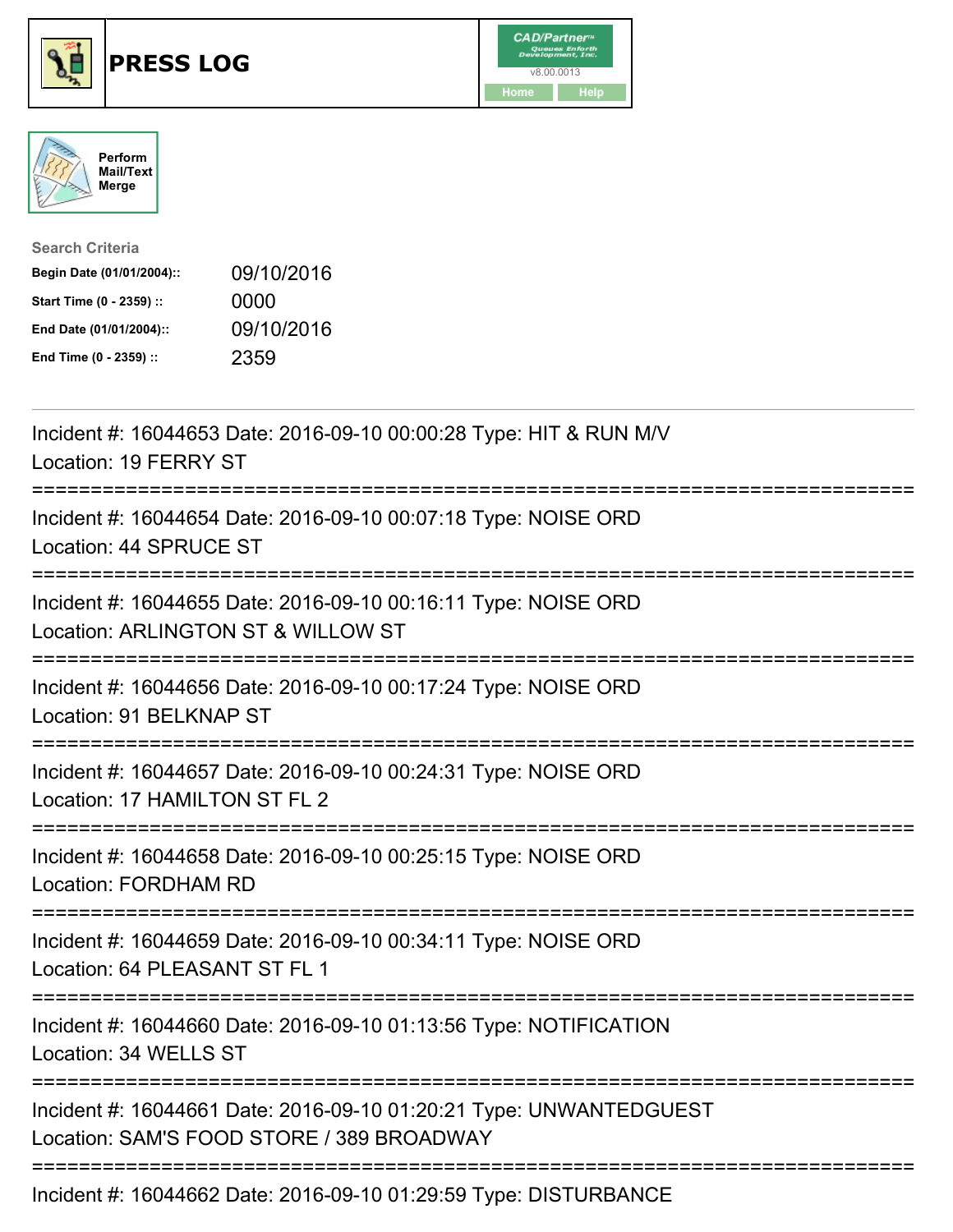





| <b>Search Criteria</b>    |            |
|---------------------------|------------|
| Begin Date (01/01/2004):: | 09/10/2016 |
| Start Time (0 - 2359) ::  | 0000       |
| End Date (01/01/2004)::   | 09/10/2016 |
| End Time (0 - 2359) ::    | 2359       |

| Incident #: 16044653 Date: 2016-09-10 00:00:28 Type: HIT & RUN M/V<br>Location: 19 FERRY ST                                      |
|----------------------------------------------------------------------------------------------------------------------------------|
| Incident #: 16044654 Date: 2016-09-10 00:07:18 Type: NOISE ORD<br>Location: 44 SPRUCE ST<br>===============                      |
| Incident #: 16044655 Date: 2016-09-10 00:16:11 Type: NOISE ORD<br>Location: ARLINGTON ST & WILLOW ST<br>------------------------ |
| Incident #: 16044656 Date: 2016-09-10 00:17:24 Type: NOISE ORD<br>Location: 91 BELKNAP ST                                        |
| Incident #: 16044657 Date: 2016-09-10 00:24:31 Type: NOISE ORD<br>Location: 17 HAMILTON ST FL 2                                  |
| Incident #: 16044658 Date: 2016-09-10 00:25:15 Type: NOISE ORD<br>Location: FORDHAM RD                                           |
| Incident #: 16044659 Date: 2016-09-10 00:34:11 Type: NOISE ORD<br>Location: 64 PLEASANT ST FL 1                                  |
| Incident #: 16044660 Date: 2016-09-10 01:13:56 Type: NOTIFICATION<br>Location: 34 WELLS ST                                       |
| Incident #: 16044661 Date: 2016-09-10 01:20:21 Type: UNWANTEDGUEST<br>Location: SAM'S FOOD STORE / 389 BROADWAY                  |
| ------------------------------------<br>Incident #: 16044662 Date: 2016-09-10 01:29:59 Type: DISTURBANCE                         |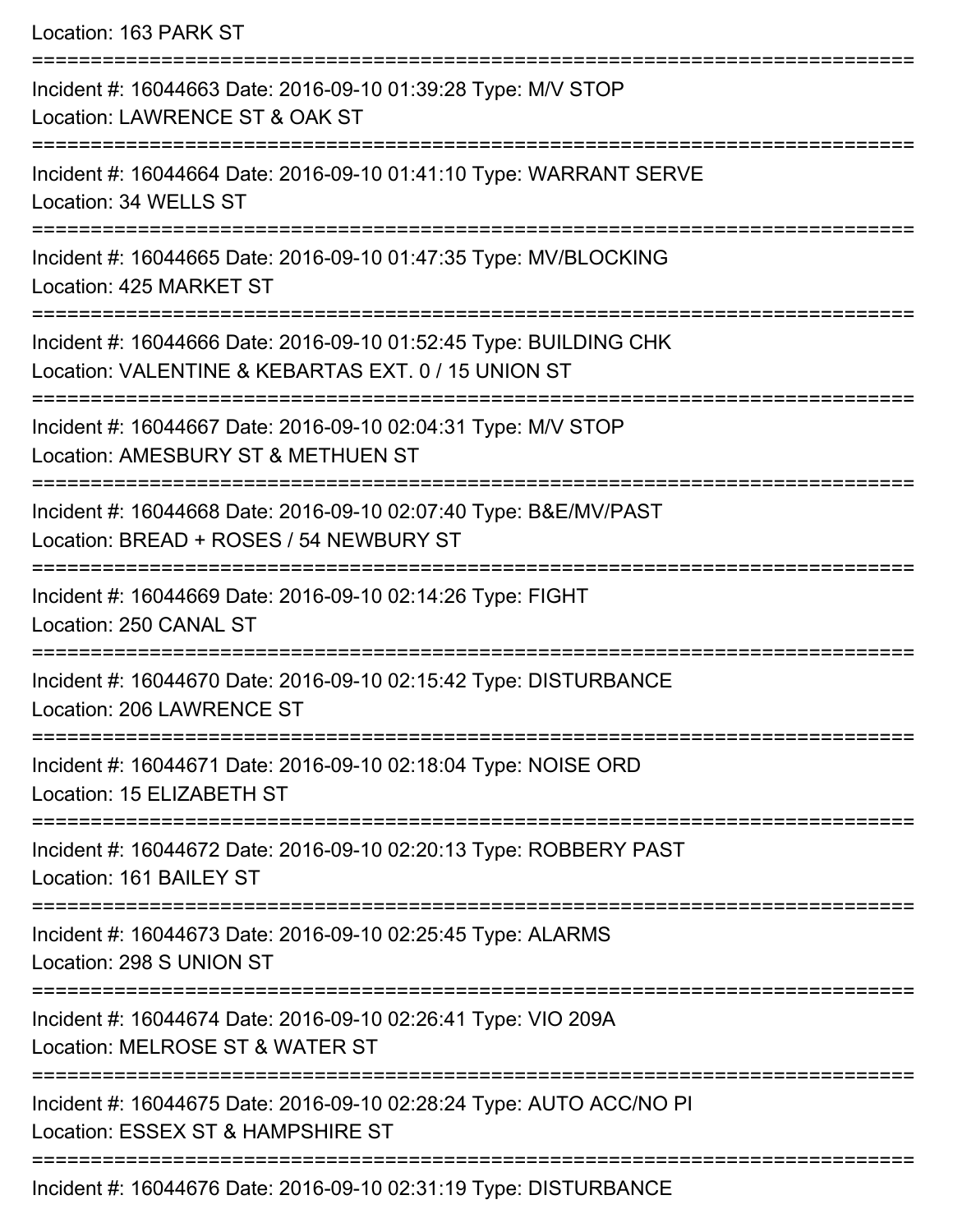| Location: 163 PARK ST                                                                                                             |
|-----------------------------------------------------------------------------------------------------------------------------------|
| Incident #: 16044663 Date: 2016-09-10 01:39:28 Type: M/V STOP<br>Location: LAWRENCE ST & OAK ST<br>---------------------          |
| Incident #: 16044664 Date: 2016-09-10 01:41:10 Type: WARRANT SERVE<br>Location: 34 WELLS ST                                       |
| Incident #: 16044665 Date: 2016-09-10 01:47:35 Type: MV/BLOCKING<br>Location: 425 MARKET ST<br>,==================                |
| Incident #: 16044666 Date: 2016-09-10 01:52:45 Type: BUILDING CHK<br>Location: VALENTINE & KEBARTAS EXT. 0 / 15 UNION ST          |
| Incident #: 16044667 Date: 2016-09-10 02:04:31 Type: M/V STOP<br>Location: AMESBURY ST & METHUEN ST                               |
| Incident #: 16044668 Date: 2016-09-10 02:07:40 Type: B&E/MV/PAST<br>Location: BREAD + ROSES / 54 NEWBURY ST<br>:================= |
| Incident #: 16044669 Date: 2016-09-10 02:14:26 Type: FIGHT<br>Location: 250 CANAL ST                                              |
| Incident #: 16044670 Date: 2016-09-10 02:15:42 Type: DISTURBANCE<br>Location: 206 LAWRENCE ST                                     |
| Incident #: 16044671 Date: 2016-09-10 02:18:04 Type: NOISE ORD<br>Location: 15 ELIZABETH ST                                       |
| Incident #: 16044672 Date: 2016-09-10 02:20:13 Type: ROBBERY PAST<br>Location: 161 BAILEY ST                                      |
| Incident #: 16044673 Date: 2016-09-10 02:25:45 Type: ALARMS<br>Location: 298 S UNION ST                                           |
| Incident #: 16044674 Date: 2016-09-10 02:26:41 Type: VIO 209A<br>Location: MELROSE ST & WATER ST                                  |
| Incident #: 16044675 Date: 2016-09-10 02:28:24 Type: AUTO ACC/NO PI<br>Location: ESSEX ST & HAMPSHIRE ST                          |
|                                                                                                                                   |

Incident #: 16044676 Date: 2016-09-10 02:31:19 Type: DISTURBANCE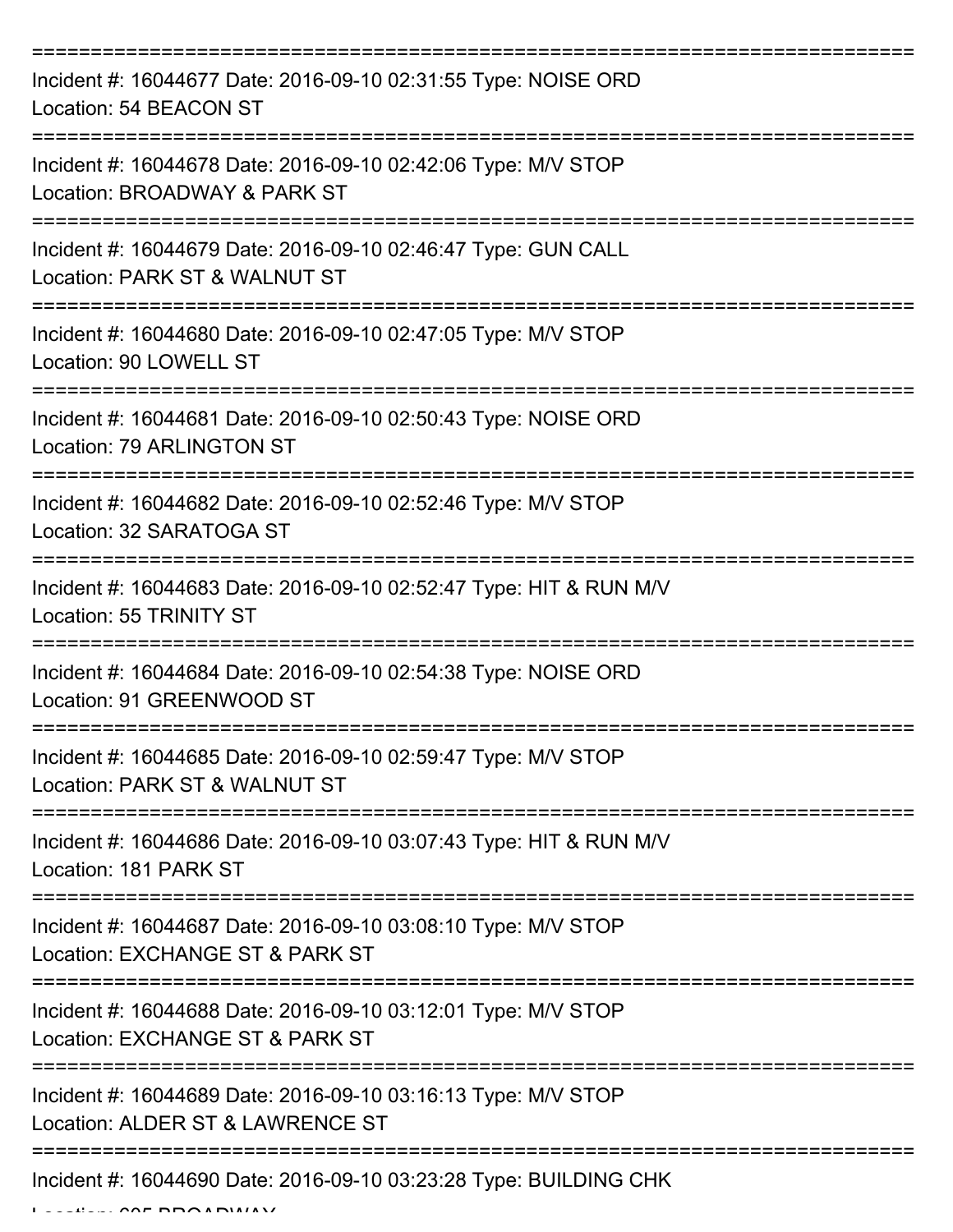| Incident #: 16044677 Date: 2016-09-10 02:31:55 Type: NOISE ORD<br>Location: 54 BEACON ST          |
|---------------------------------------------------------------------------------------------------|
| Incident #: 16044678 Date: 2016-09-10 02:42:06 Type: M/V STOP<br>Location: BROADWAY & PARK ST     |
| Incident #: 16044679 Date: 2016-09-10 02:46:47 Type: GUN CALL<br>Location: PARK ST & WALNUT ST    |
| Incident #: 16044680 Date: 2016-09-10 02:47:05 Type: M/V STOP<br>Location: 90 LOWELL ST           |
| Incident #: 16044681 Date: 2016-09-10 02:50:43 Type: NOISE ORD<br>Location: 79 ARLINGTON ST       |
| Incident #: 16044682 Date: 2016-09-10 02:52:46 Type: M/V STOP<br>Location: 32 SARATOGA ST         |
| Incident #: 16044683 Date: 2016-09-10 02:52:47 Type: HIT & RUN M/V<br>Location: 55 TRINITY ST     |
| Incident #: 16044684 Date: 2016-09-10 02:54:38 Type: NOISE ORD<br>Location: 91 GREENWOOD ST       |
| Incident #: 16044685 Date: 2016-09-10 02:59:47 Type: M/V STOP<br>Location: PARK ST & WALNUT ST    |
| Incident #: 16044686 Date: 2016-09-10 03:07:43 Type: HIT & RUN M/V<br>Location: 181 PARK ST       |
| Incident #: 16044687 Date: 2016-09-10 03:08:10 Type: M/V STOP<br>Location: EXCHANGE ST & PARK ST  |
| Incident #: 16044688 Date: 2016-09-10 03:12:01 Type: M/V STOP<br>Location: EXCHANGE ST & PARK ST  |
| Incident #: 16044689 Date: 2016-09-10 03:16:13 Type: M/V STOP<br>Location: ALDER ST & LAWRENCE ST |
| Incident #: 16044690 Date: 2016-09-10 03:23:28 Type: BUILDING CHK                                 |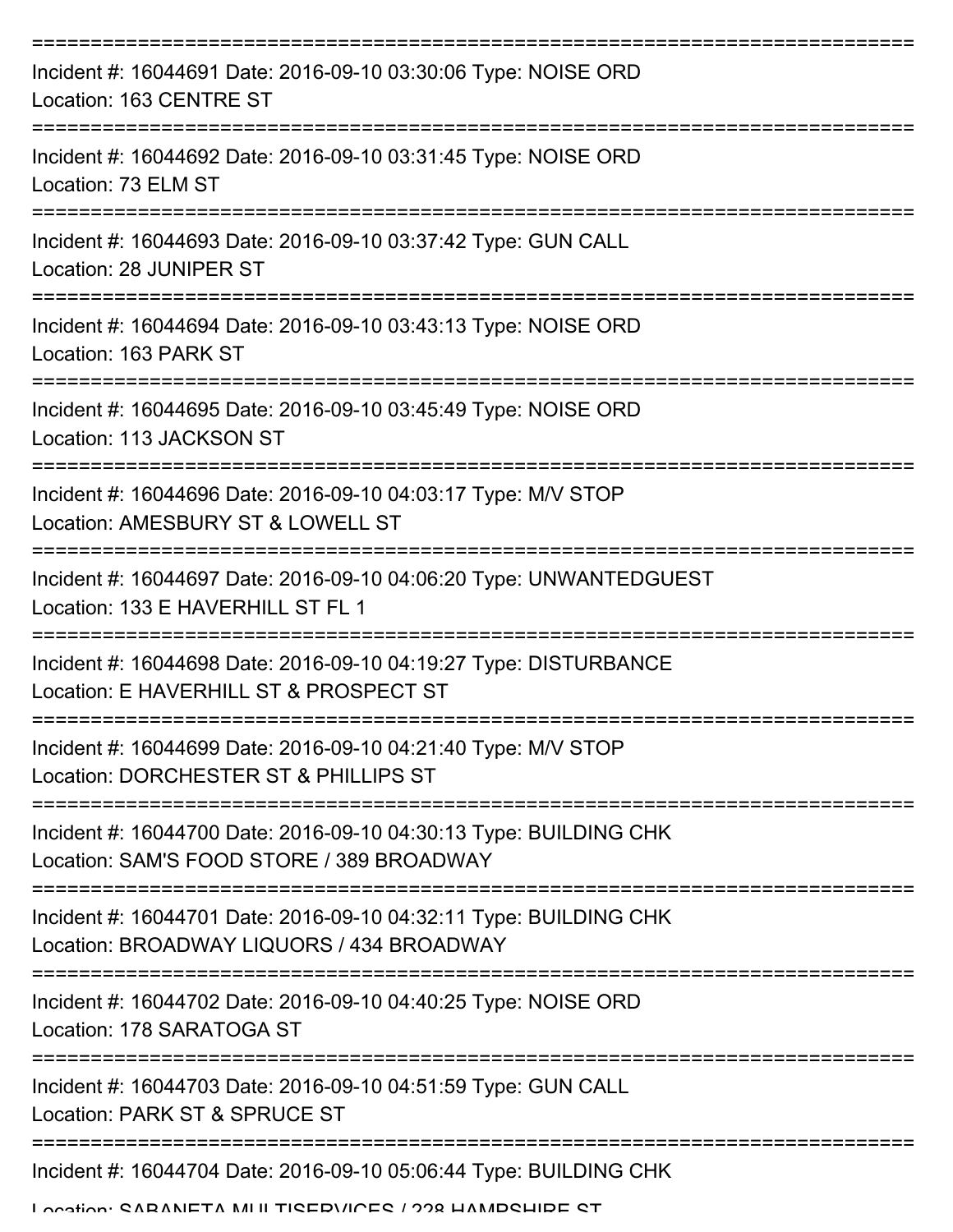| Incident #: 16044691 Date: 2016-09-10 03:30:06 Type: NOISE ORD<br>Location: 163 CENTRE ST                                     |
|-------------------------------------------------------------------------------------------------------------------------------|
| Incident #: 16044692 Date: 2016-09-10 03:31:45 Type: NOISE ORD<br>Location: 73 ELM ST                                         |
| Incident #: 16044693 Date: 2016-09-10 03:37:42 Type: GUN CALL<br>Location: 28 JUNIPER ST                                      |
| Incident #: 16044694 Date: 2016-09-10 03:43:13 Type: NOISE ORD<br>Location: 163 PARK ST                                       |
| Incident #: 16044695 Date: 2016-09-10 03:45:49 Type: NOISE ORD<br>Location: 113 JACKSON ST                                    |
| Incident #: 16044696 Date: 2016-09-10 04:03:17 Type: M/V STOP<br>Location: AMESBURY ST & LOWELL ST                            |
| Incident #: 16044697 Date: 2016-09-10 04:06:20 Type: UNWANTEDGUEST<br>Location: 133 E HAVERHILL ST FL 1                       |
| Incident #: 16044698 Date: 2016-09-10 04:19:27 Type: DISTURBANCE<br>Location: E HAVERHILL ST & PROSPECT ST                    |
| Incident #: 16044699 Date: 2016-09-10 04:21:40 Type: M/V STOP<br>Location: DORCHESTER ST & PHILLIPS ST                        |
| Incident #: 16044700 Date: 2016-09-10 04:30:13 Type: BUILDING CHK<br>Location: SAM'S FOOD STORE / 389 BROADWAY                |
| Incident #: 16044701 Date: 2016-09-10 04:32:11 Type: BUILDING CHK<br>Location: BROADWAY LIQUORS / 434 BROADWAY                |
| Incident #: 16044702 Date: 2016-09-10 04:40:25 Type: NOISE ORD<br>Location: 178 SARATOGA ST                                   |
| Incident #: 16044703 Date: 2016-09-10 04:51:59 Type: GUN CALL<br>Location: PARK ST & SPRUCE ST                                |
| Incident #: 16044704 Date: 2016-09-10 05:06:44 Type: BUILDING CHK<br>I anation: CADANIETA MI II TICEDVICEC / 998 HAMDCHIDE CT |
|                                                                                                                               |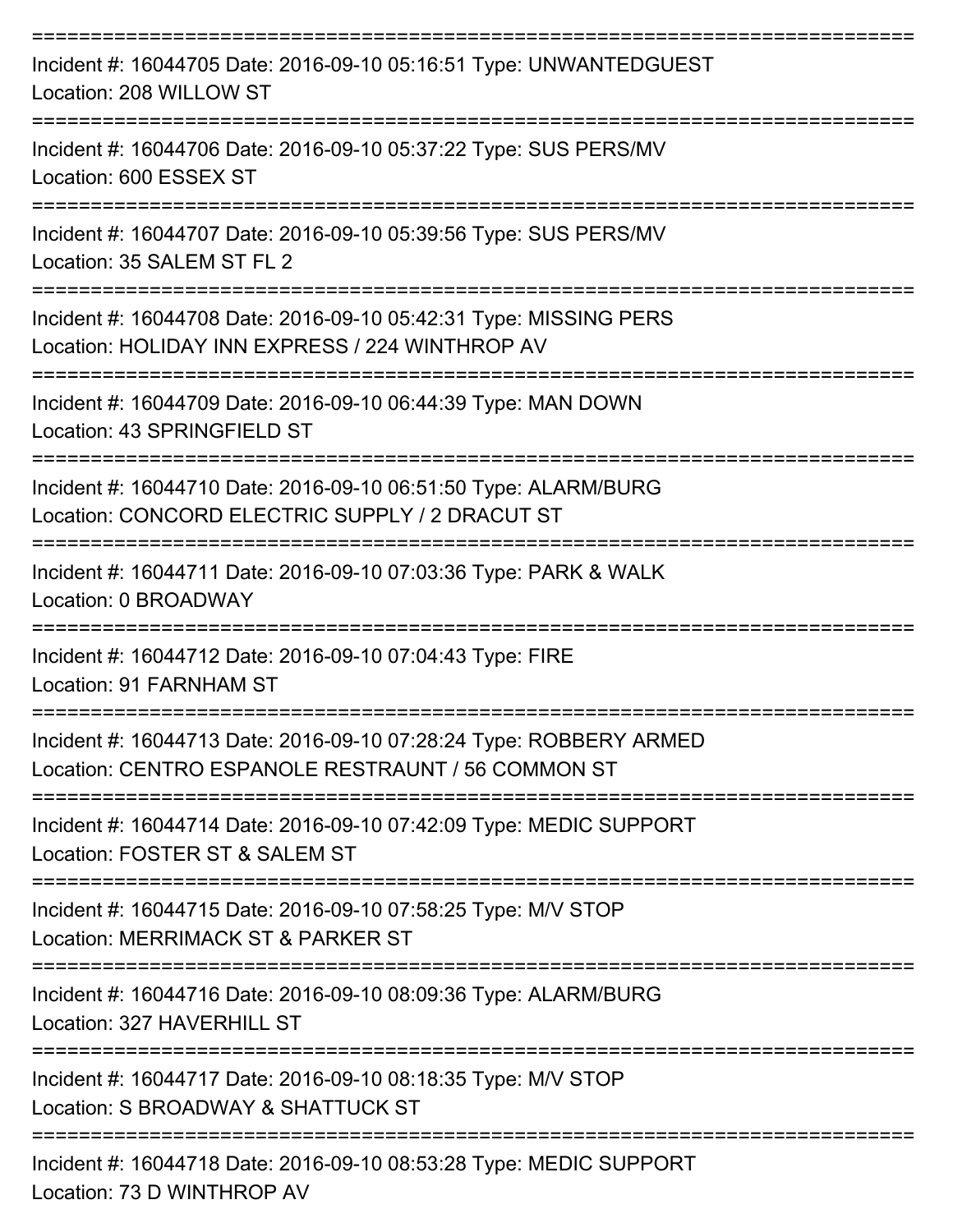| Incident #: 16044705 Date: 2016-09-10 05:16:51 Type: UNWANTEDGUEST<br>Location: 208 WILLOW ST                                                   |
|-------------------------------------------------------------------------------------------------------------------------------------------------|
| Incident #: 16044706 Date: 2016-09-10 05:37:22 Type: SUS PERS/MV<br>Location: 600 ESSEX ST                                                      |
| Incident #: 16044707 Date: 2016-09-10 05:39:56 Type: SUS PERS/MV<br>Location: 35 SALEM ST FL 2                                                  |
| Incident #: 16044708 Date: 2016-09-10 05:42:31 Type: MISSING PERS<br>Location: HOLIDAY INN EXPRESS / 224 WINTHROP AV                            |
| Incident #: 16044709 Date: 2016-09-10 06:44:39 Type: MAN DOWN<br>Location: 43 SPRINGFIELD ST                                                    |
| Incident #: 16044710 Date: 2016-09-10 06:51:50 Type: ALARM/BURG<br>Location: CONCORD ELECTRIC SUPPLY / 2 DRACUT ST                              |
| Incident #: 16044711 Date: 2016-09-10 07:03:36 Type: PARK & WALK<br>Location: 0 BROADWAY                                                        |
| Incident #: 16044712 Date: 2016-09-10 07:04:43 Type: FIRE<br>Location: 91 FARNHAM ST                                                            |
| -------------------<br>Incident #: 16044713 Date: 2016-09-10 07:28:24 Type: ROBBERY ARMED<br>Location: CENTRO ESPANOLE RESTRAUNT / 56 COMMON ST |
| Incident #: 16044714 Date: 2016-09-10 07:42:09 Type: MEDIC SUPPORT<br>Location: FOSTER ST & SALEM ST                                            |
| Incident #: 16044715 Date: 2016-09-10 07:58:25 Type: M/V STOP<br>Location: MERRIMACK ST & PARKER ST                                             |
| Incident #: 16044716 Date: 2016-09-10 08:09:36 Type: ALARM/BURG<br>Location: 327 HAVERHILL ST                                                   |
| Incident #: 16044717 Date: 2016-09-10 08:18:35 Type: M/V STOP<br>Location: S BROADWAY & SHATTUCK ST                                             |
| Incident #: 16044718 Date: 2016-09-10 08:53:28 Type: MEDIC SUPPORT<br>Location: 73 D WINTHROP AV                                                |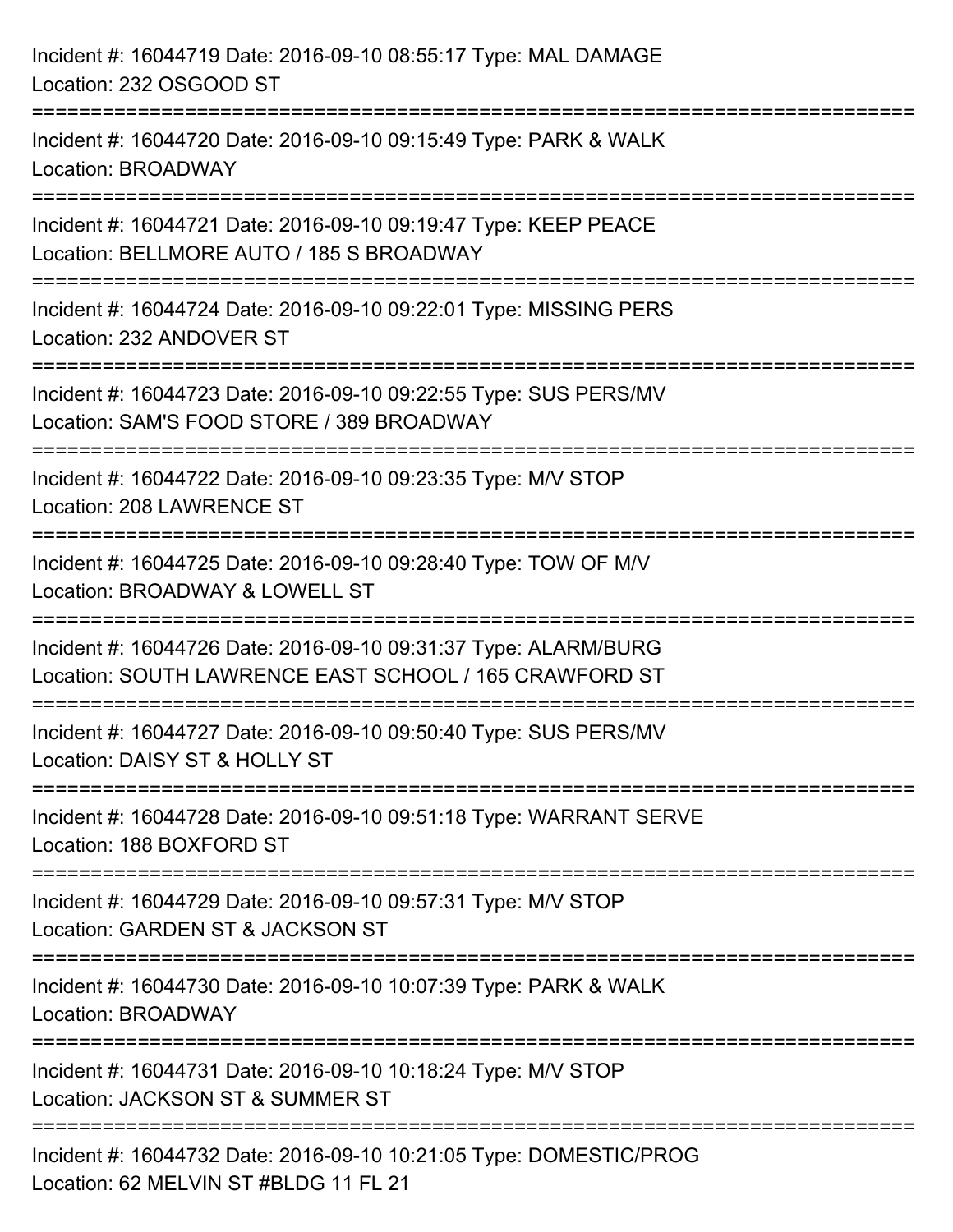| Incident #: 16044719 Date: 2016-09-10 08:55:17 Type: MAL DAMAGE<br>Location: 232 OSGOOD ST                                         |
|------------------------------------------------------------------------------------------------------------------------------------|
| Incident #: 16044720 Date: 2016-09-10 09:15:49 Type: PARK & WALK<br>Location: BROADWAY                                             |
| Incident #: 16044721 Date: 2016-09-10 09:19:47 Type: KEEP PEACE<br>Location: BELLMORE AUTO / 185 S BROADWAY<br>================    |
| Incident #: 16044724 Date: 2016-09-10 09:22:01 Type: MISSING PERS<br>Location: 232 ANDOVER ST                                      |
| Incident #: 16044723 Date: 2016-09-10 09:22:55 Type: SUS PERS/MV<br>Location: SAM'S FOOD STORE / 389 BROADWAY<br>================= |
| Incident #: 16044722 Date: 2016-09-10 09:23:35 Type: M/V STOP<br>Location: 208 LAWRENCE ST                                         |
| Incident #: 16044725 Date: 2016-09-10 09:28:40 Type: TOW OF M/V<br>Location: BROADWAY & LOWELL ST                                  |
| Incident #: 16044726 Date: 2016-09-10 09:31:37 Type: ALARM/BURG<br>Location: SOUTH LAWRENCE EAST SCHOOL / 165 CRAWFORD ST          |
| Incident #: 16044727 Date: 2016-09-10 09:50:40 Type: SUS PERS/MV<br>Location: DAISY ST & HOLLY ST                                  |
| Incident #: 16044728 Date: 2016-09-10 09:51:18 Type: WARRANT SERVE<br>Location: 188 BOXFORD ST                                     |
| Incident #: 16044729 Date: 2016-09-10 09:57:31 Type: M/V STOP<br>Location: GARDEN ST & JACKSON ST                                  |
| Incident #: 16044730 Date: 2016-09-10 10:07:39 Type: PARK & WALK<br>Location: BROADWAY                                             |
| Incident #: 16044731 Date: 2016-09-10 10:18:24 Type: M/V STOP<br>Location: JACKSON ST & SUMMER ST                                  |
| Incident #: 16044732 Date: 2016-09-10 10:21:05 Type: DOMESTIC/PROG<br>Location: 62 MELVIN ST #BLDG 11 FL 21                        |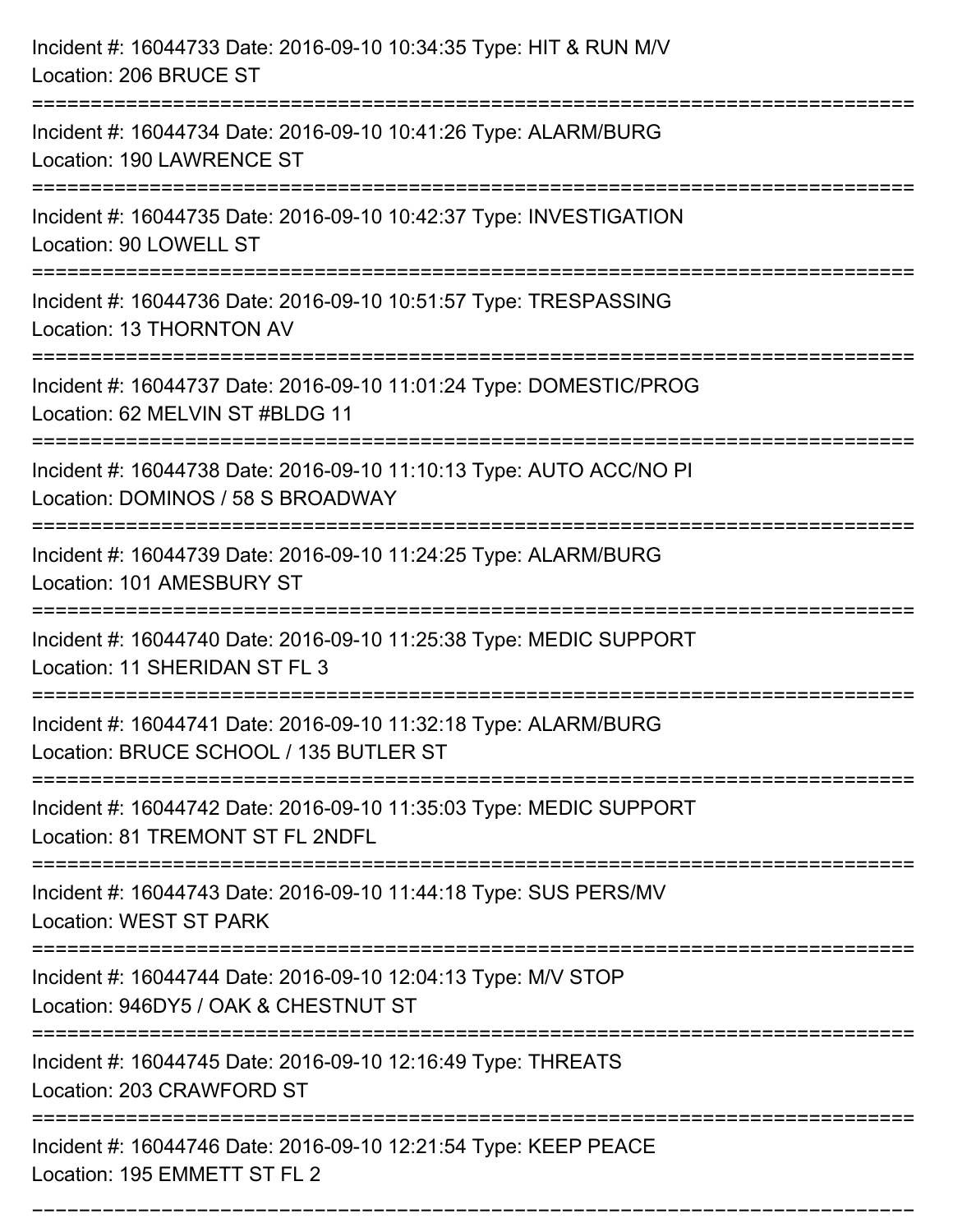| Incident #: 16044733 Date: 2016-09-10 10:34:35 Type: HIT & RUN M/V<br>Location: 206 BRUCE ST                                                                                  |
|-------------------------------------------------------------------------------------------------------------------------------------------------------------------------------|
| Incident #: 16044734 Date: 2016-09-10 10:41:26 Type: ALARM/BURG<br>Location: 190 LAWRENCE ST                                                                                  |
| Incident #: 16044735 Date: 2016-09-10 10:42:37 Type: INVESTIGATION<br>Location: 90 LOWELL ST<br>:============================                                                 |
| Incident #: 16044736 Date: 2016-09-10 10:51:57 Type: TRESPASSING<br>Location: 13 THORNTON AV                                                                                  |
| Incident #: 16044737 Date: 2016-09-10 11:01:24 Type: DOMESTIC/PROG<br>Location: 62 MELVIN ST #BLDG 11                                                                         |
| Incident #: 16044738 Date: 2016-09-10 11:10:13 Type: AUTO ACC/NO PI<br>Location: DOMINOS / 58 S BROADWAY<br>=========================                                         |
| Incident #: 16044739 Date: 2016-09-10 11:24:25 Type: ALARM/BURG<br>Location: 101 AMESBURY ST                                                                                  |
| Incident #: 16044740 Date: 2016-09-10 11:25:38 Type: MEDIC SUPPORT<br>Location: 11 SHERIDAN ST FL 3                                                                           |
| Incident #: 16044741 Date: 2016-09-10 11:32:18 Type: ALARM/BURG<br>Location: BRUCE SCHOOL / 135 BUTLER ST                                                                     |
| Incident #: 16044742 Date: 2016-09-10 11:35:03 Type: MEDIC SUPPORT<br>Location: 81 TREMONT ST FL 2NDFL                                                                        |
| Incident #: 16044743 Date: 2016-09-10 11:44:18 Type: SUS PERS/MV<br>Location: WEST ST PARK<br>-------------------------------------<br>-------------------------------------- |
| Incident #: 16044744 Date: 2016-09-10 12:04:13 Type: M/V STOP<br>Location: 946DY5 / OAK & CHESTNUT ST                                                                         |
| Incident #: 16044745 Date: 2016-09-10 12:16:49 Type: THREATS<br>Location: 203 CRAWFORD ST                                                                                     |
| Incident #: 16044746 Date: 2016-09-10 12:21:54 Type: KEEP PEACE<br>Location: 195 EMMETT ST FL 2                                                                               |

===========================================================================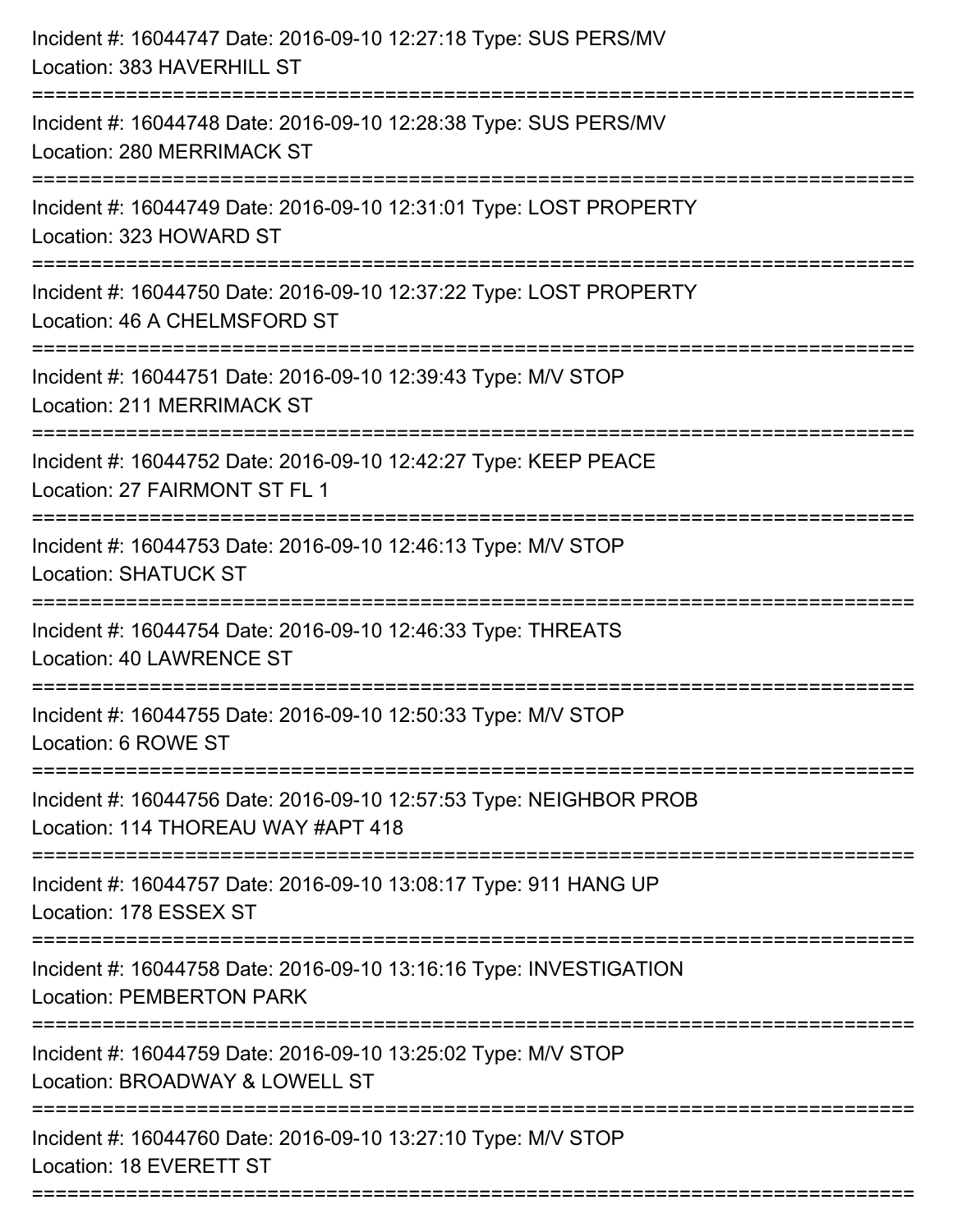| Incident #: 16044747 Date: 2016-09-10 12:27:18 Type: SUS PERS/MV<br>Location: 383 HAVERHILL ST                                     |
|------------------------------------------------------------------------------------------------------------------------------------|
| Incident #: 16044748 Date: 2016-09-10 12:28:38 Type: SUS PERS/MV<br>Location: 280 MERRIMACK ST                                     |
| Incident #: 16044749 Date: 2016-09-10 12:31:01 Type: LOST PROPERTY<br>Location: 323 HOWARD ST                                      |
| Incident #: 16044750 Date: 2016-09-10 12:37:22 Type: LOST PROPERTY<br>Location: 46 A CHELMSFORD ST                                 |
| Incident #: 16044751 Date: 2016-09-10 12:39:43 Type: M/V STOP<br><b>Location: 211 MERRIMACK ST</b><br>:=========================== |
| Incident #: 16044752 Date: 2016-09-10 12:42:27 Type: KEEP PEACE<br>Location: 27 FAIRMONT ST FL 1                                   |
| Incident #: 16044753 Date: 2016-09-10 12:46:13 Type: M/V STOP<br><b>Location: SHATUCK ST</b>                                       |
| Incident #: 16044754 Date: 2016-09-10 12:46:33 Type: THREATS<br><b>Location: 40 LAWRENCE ST</b>                                    |
| Incident #: 16044755 Date: 2016-09-10 12:50:33 Type: M/V STOP<br>Location: 6 ROWE ST                                               |
| Incident #: 16044756 Date: 2016-09-10 12:57:53 Type: NEIGHBOR PROB<br>Location: 114 THOREAU WAY #APT 418                           |
| Incident #: 16044757 Date: 2016-09-10 13:08:17 Type: 911 HANG UP<br>Location: 178 ESSEX ST                                         |
| Incident #: 16044758 Date: 2016-09-10 13:16:16 Type: INVESTIGATION<br><b>Location: PEMBERTON PARK</b>                              |
| Incident #: 16044759 Date: 2016-09-10 13:25:02 Type: M/V STOP<br>Location: BROADWAY & LOWELL ST                                    |
| Incident #: 16044760 Date: 2016-09-10 13:27:10 Type: M/V STOP<br>Location: 18 EVERETT ST                                           |
|                                                                                                                                    |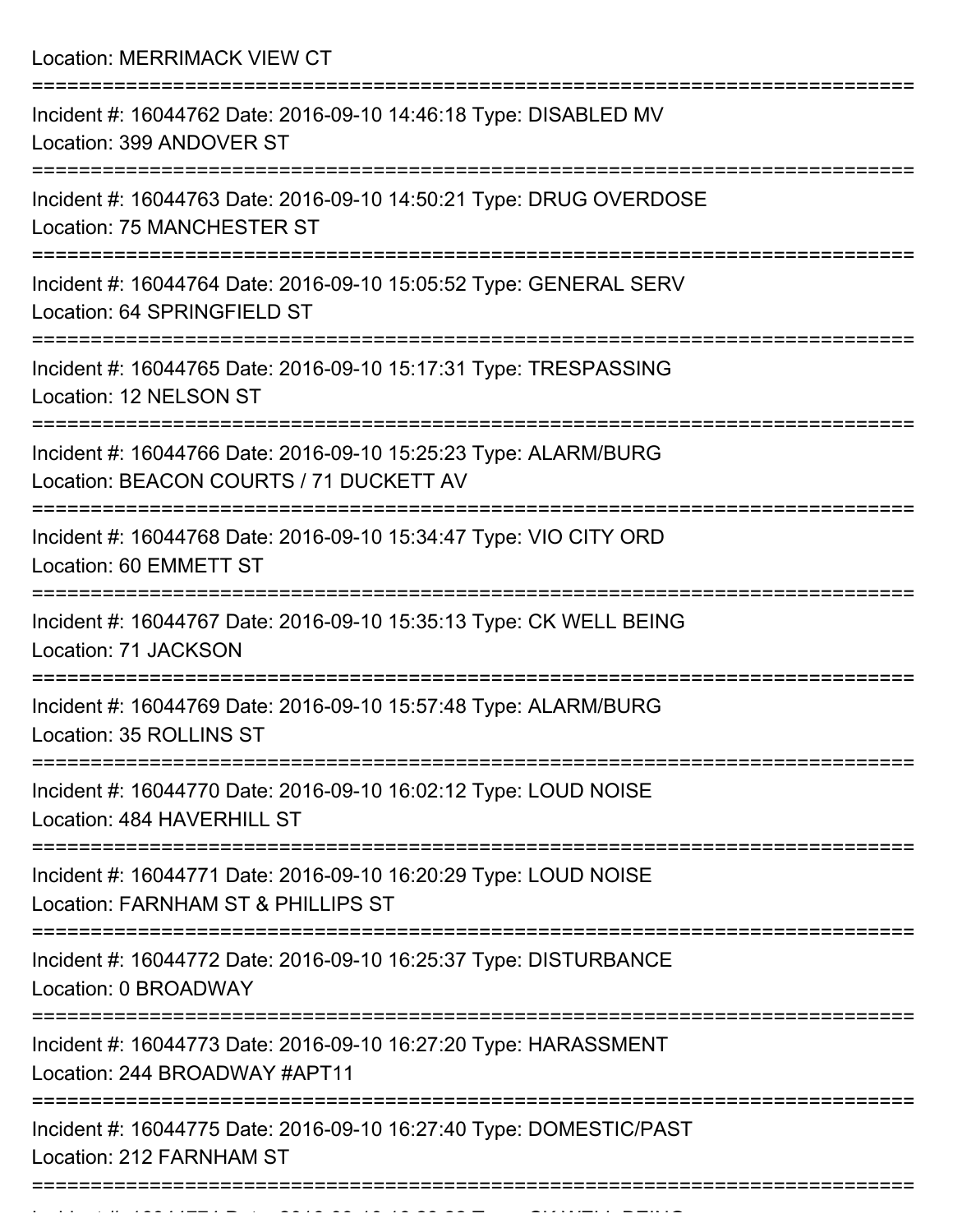Location: MERRIMACK VIEW CT =========================================================================== Incident #: 16044762 Date: 2016-09-10 14:46:18 Type: DISABLED MV Location: 399 ANDOVER ST =========================================================================== Incident #: 16044763 Date: 2016-09-10 14:50:21 Type: DRUG OVERDOSE Location: 75 MANCHESTER ST =========================================================================== Incident #: 16044764 Date: 2016-09-10 15:05:52 Type: GENERAL SERV Location: 64 SPRINGFIELD ST =========================================================================== Incident #: 16044765 Date: 2016-09-10 15:17:31 Type: TRESPASSING Location: 12 NELSON ST =========================================================================== Incident #: 16044766 Date: 2016-09-10 15:25:23 Type: ALARM/BURG Location: BEACON COURTS / 71 DUCKETT AV =========================================================================== Incident #: 16044768 Date: 2016-09-10 15:34:47 Type: VIO CITY ORD Location: 60 EMMETT ST =========================================================================== Incident #: 16044767 Date: 2016-09-10 15:35:13 Type: CK WELL BEING Location: 71 JACKSON =========================================================================== Incident #: 16044769 Date: 2016-09-10 15:57:48 Type: ALARM/BURG Location: 35 ROLLINS ST =========================================================================== Incident #: 16044770 Date: 2016-09-10 16:02:12 Type: LOUD NOISE Location: 484 HAVERHILL ST =========================================================================== Incident #: 16044771 Date: 2016-09-10 16:20:29 Type: LOUD NOISE Location: FARNHAM ST & PHILLIPS ST =========================================================================== Incident #: 16044772 Date: 2016-09-10 16:25:37 Type: DISTURBANCE Location: 0 BROADWAY =========================================================================== Incident #: 16044773 Date: 2016-09-10 16:27:20 Type: HARASSMENT Location: 244 BROADWAY #APT11 =========================================================================== Incident #: 16044775 Date: 2016-09-10 16:27:40 Type: DOMESTIC/PAST Location: 212 FARNHAM ST ===========================================================================

Incident #: 1604474 Date: 2016 09 10 16:28:28 Type: CK WELL BEING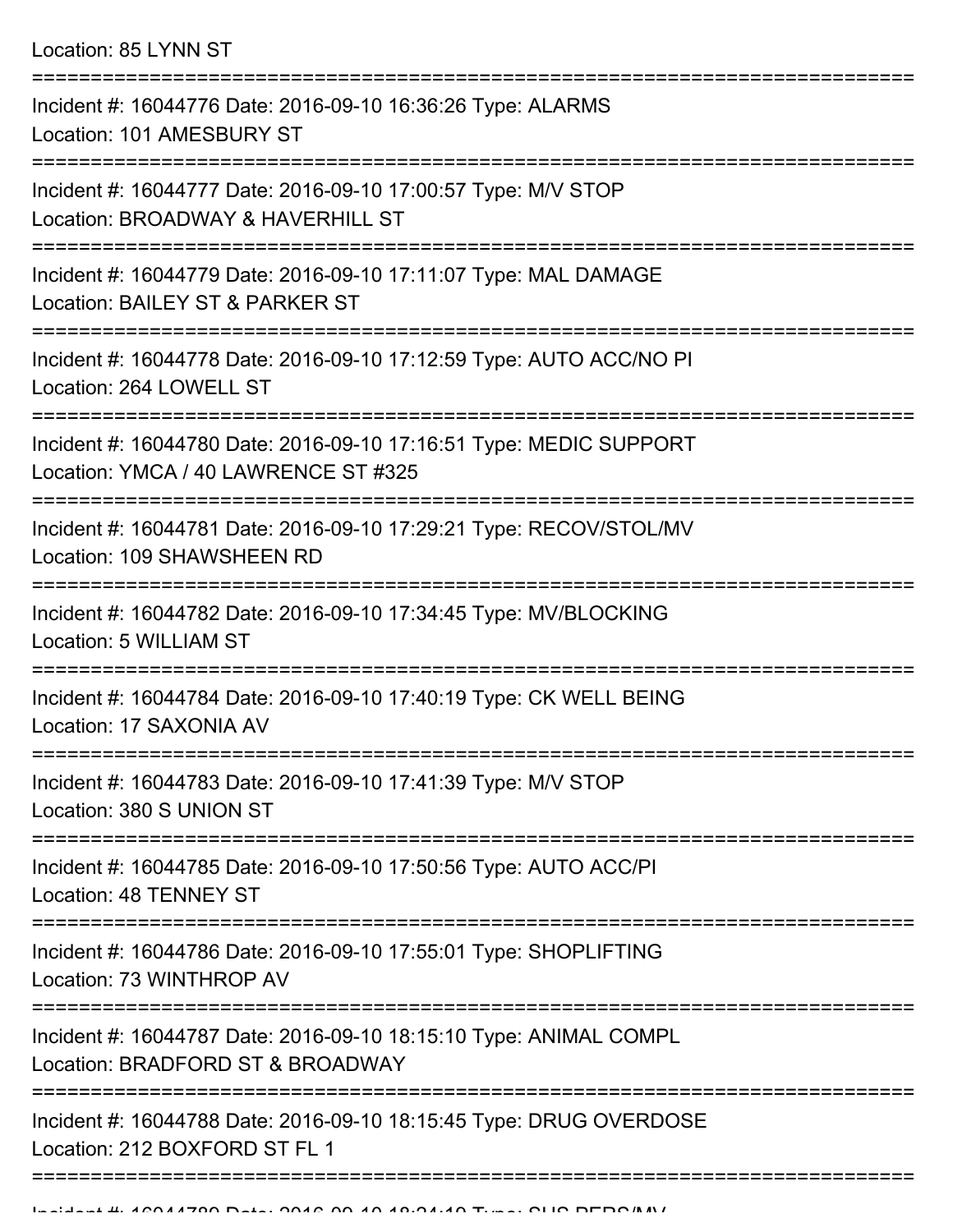Location: 85 LYNN ST

| Incident #: 16044776 Date: 2016-09-10 16:36:26 Type: ALARMS<br>Location: 101 AMESBURY ST                   |
|------------------------------------------------------------------------------------------------------------|
| Incident #: 16044777 Date: 2016-09-10 17:00:57 Type: M/V STOP<br>Location: BROADWAY & HAVERHILL ST         |
| Incident #: 16044779 Date: 2016-09-10 17:11:07 Type: MAL DAMAGE<br>Location: BAILEY ST & PARKER ST         |
| Incident #: 16044778 Date: 2016-09-10 17:12:59 Type: AUTO ACC/NO PI<br>Location: 264 LOWELL ST             |
| Incident #: 16044780 Date: 2016-09-10 17:16:51 Type: MEDIC SUPPORT<br>Location: YMCA / 40 LAWRENCE ST #325 |
| Incident #: 16044781 Date: 2016-09-10 17:29:21 Type: RECOV/STOL/MV<br>Location: 109 SHAWSHEEN RD           |
| Incident #: 16044782 Date: 2016-09-10 17:34:45 Type: MV/BLOCKING<br>Location: 5 WILLIAM ST                 |
| Incident #: 16044784 Date: 2016-09-10 17:40:19 Type: CK WELL BEING<br>Location: 17 SAXONIA AV              |
| Incident #: 16044783 Date: 2016-09-10 17:41:39 Type: M/V STOP<br>Location: 380 S UNION ST                  |
| Incident #: 16044785 Date: 2016-09-10 17:50:56 Type: AUTO ACC/PI<br>Location: 48 TENNEY ST                 |
| Incident #: 16044786 Date: 2016-09-10 17:55:01 Type: SHOPLIFTING<br>Location: 73 WINTHROP AV               |
| Incident #: 16044787 Date: 2016-09-10 18:15:10 Type: ANIMAL COMPL<br>Location: BRADFORD ST & BROADWAY      |
| Incident #: 16044788 Date: 2016-09-10 18:15:45 Type: DRUG OVERDOSE<br>Location: 212 BOXFORD ST FL 1        |
|                                                                                                            |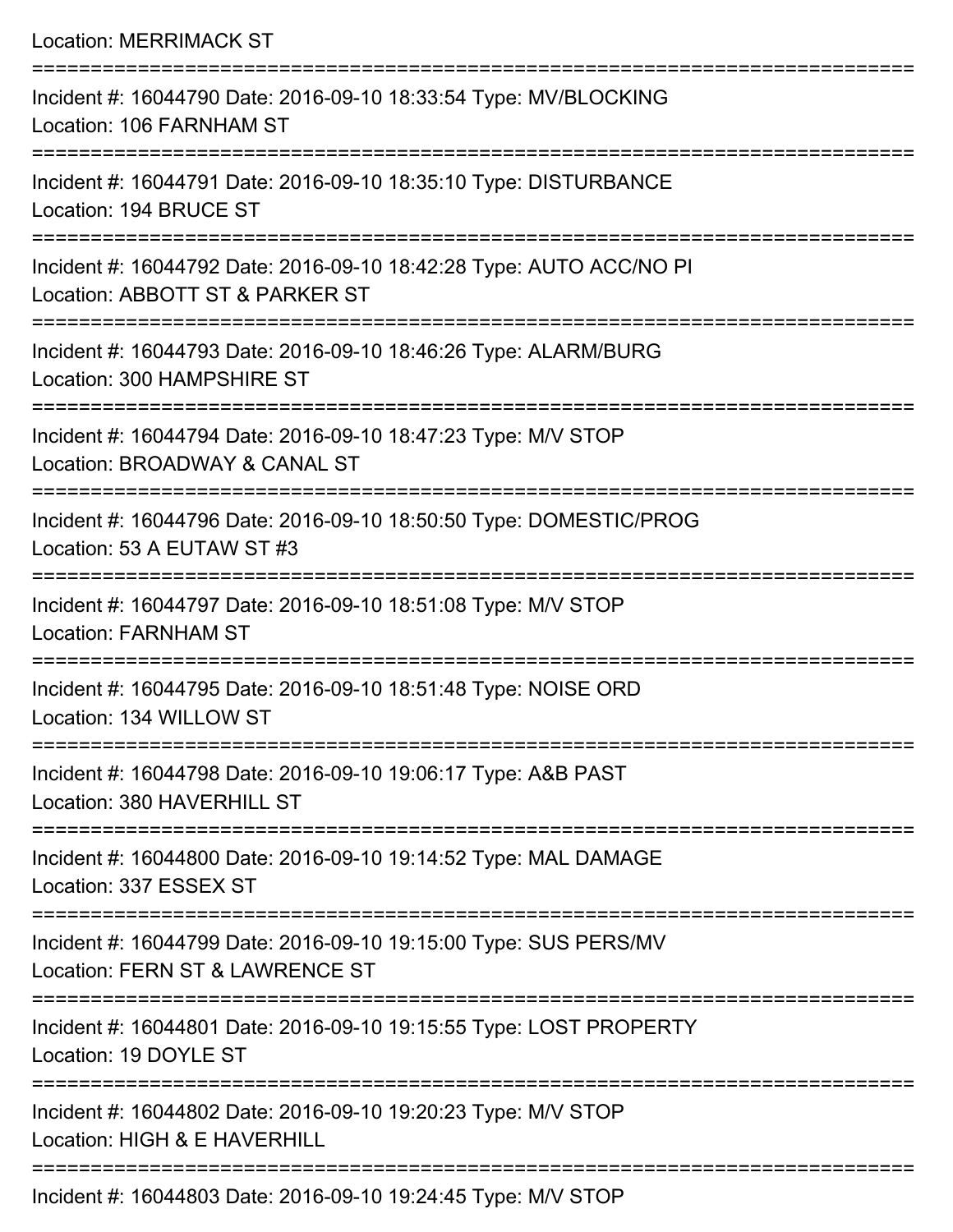Location: MERRIMACK ST =========================================================================== Incident #: 16044790 Date: 2016-09-10 18:33:54 Type: MV/BLOCKING Location: 106 FARNHAM ST =========================================================================== Incident #: 16044791 Date: 2016-09-10 18:35:10 Type: DISTURBANCE Location: 194 BRUCE ST =========================================================================== Incident #: 16044792 Date: 2016-09-10 18:42:28 Type: AUTO ACC/NO PI Location: ABBOTT ST & PARKER ST =========================================================================== Incident #: 16044793 Date: 2016-09-10 18:46:26 Type: ALARM/BURG Location: 300 HAMPSHIRE ST =========================================================================== Incident #: 16044794 Date: 2016-09-10 18:47:23 Type: M/V STOP Location: BROADWAY & CANAL ST =========================================================================== Incident #: 16044796 Date: 2016-09-10 18:50:50 Type: DOMESTIC/PROG Location: 53 A EUTAW ST #3 =========================================================================== Incident #: 16044797 Date: 2016-09-10 18:51:08 Type: M/V STOP Location: FARNHAM ST =========================================================================== Incident #: 16044795 Date: 2016-09-10 18:51:48 Type: NOISE ORD Location: 134 WILLOW ST =========================================================================== Incident #: 16044798 Date: 2016-09-10 19:06:17 Type: A&B PAST Location: 380 HAVERHILL ST =========================================================================== Incident #: 16044800 Date: 2016-09-10 19:14:52 Type: MAL DAMAGE Location: 337 ESSEX ST =========================================================================== Incident #: 16044799 Date: 2016-09-10 19:15:00 Type: SUS PERS/MV Location: FERN ST & LAWRENCE ST =========================================================================== Incident #: 16044801 Date: 2016-09-10 19:15:55 Type: LOST PROPERTY Location: 19 DOYLE ST =========================================================================== Incident #: 16044802 Date: 2016-09-10 19:20:23 Type: M/V STOP Location: HIGH & E HAVERHILL ===========================================================================

Incident #: 16044803 Date: 2016-09-10 19:24:45 Type: M/V STOP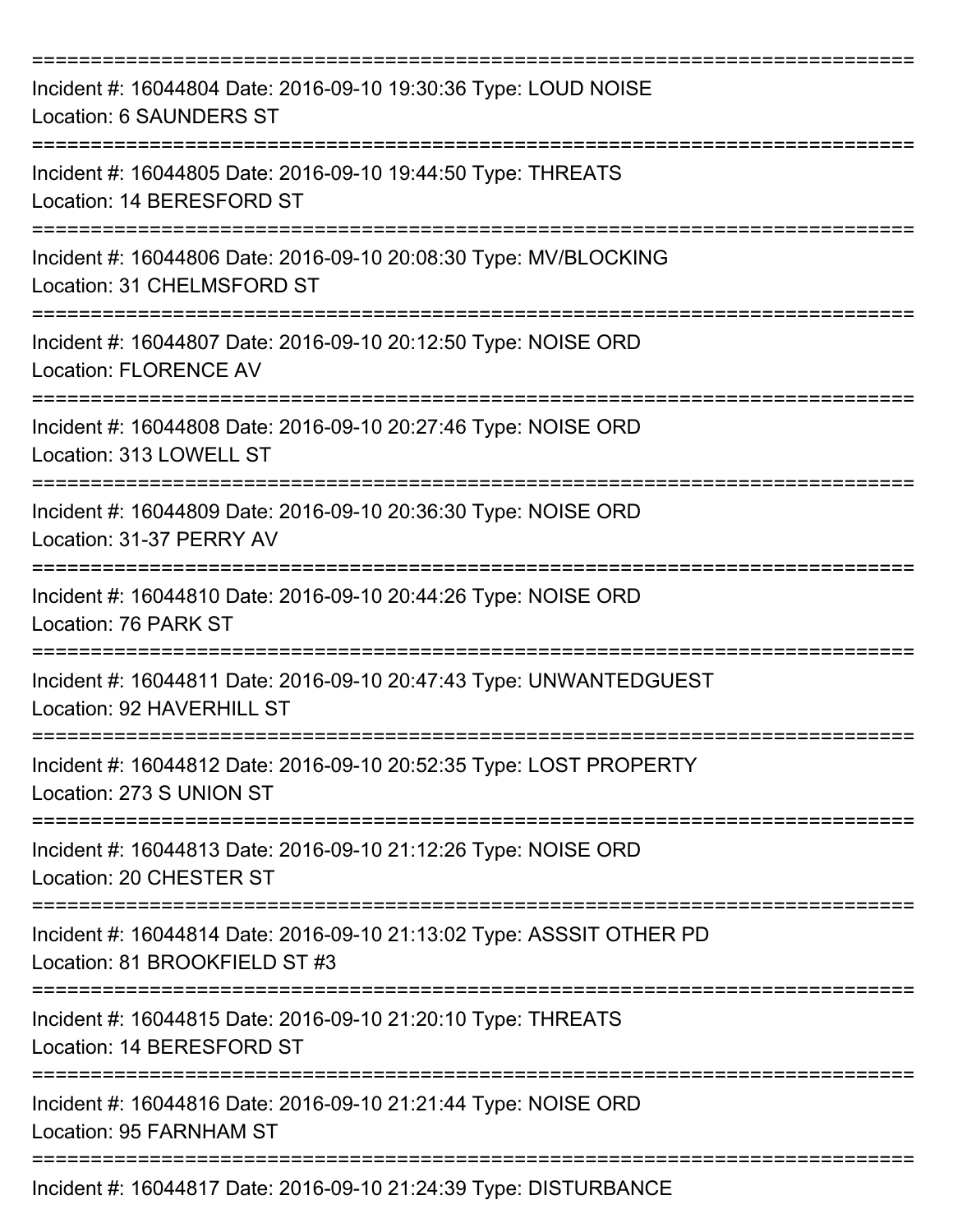| Incident #: 16044804 Date: 2016-09-10 19:30:36 Type: LOUD NOISE<br>Location: 6 SAUNDERS ST            |
|-------------------------------------------------------------------------------------------------------|
| Incident #: 16044805 Date: 2016-09-10 19:44:50 Type: THREATS<br>Location: 14 BERESFORD ST             |
| Incident #: 16044806 Date: 2016-09-10 20:08:30 Type: MV/BLOCKING<br>Location: 31 CHELMSFORD ST        |
| Incident #: 16044807 Date: 2016-09-10 20:12:50 Type: NOISE ORD<br><b>Location: FLORENCE AV</b>        |
| Incident #: 16044808 Date: 2016-09-10 20:27:46 Type: NOISE ORD<br>Location: 313 LOWELL ST             |
| Incident #: 16044809 Date: 2016-09-10 20:36:30 Type: NOISE ORD<br>Location: 31-37 PERRY AV            |
| Incident #: 16044810 Date: 2016-09-10 20:44:26 Type: NOISE ORD<br>Location: 76 PARK ST                |
| Incident #: 16044811 Date: 2016-09-10 20:47:43 Type: UNWANTEDGUEST<br>Location: 92 HAVERHILL ST       |
| Incident #: 16044812 Date: 2016-09-10 20:52:35 Type: LOST PROPERTY<br>Location: 273 S UNION ST        |
| Incident #: 16044813 Date: 2016-09-10 21:12:26 Type: NOISE ORD<br>Location: 20 CHESTER ST             |
| Incident #: 16044814 Date: 2016-09-10 21:13:02 Type: ASSSIT OTHER PD<br>Location: 81 BROOKFIELD ST #3 |
| Incident #: 16044815 Date: 2016-09-10 21:20:10 Type: THREATS<br>Location: 14 BERESFORD ST             |
| Incident #: 16044816 Date: 2016-09-10 21:21:44 Type: NOISE ORD<br>Location: 95 FARNHAM ST             |
| Incident #: 16044817 Date: 2016-09-10 21:24:39 Type: DISTURBANCE                                      |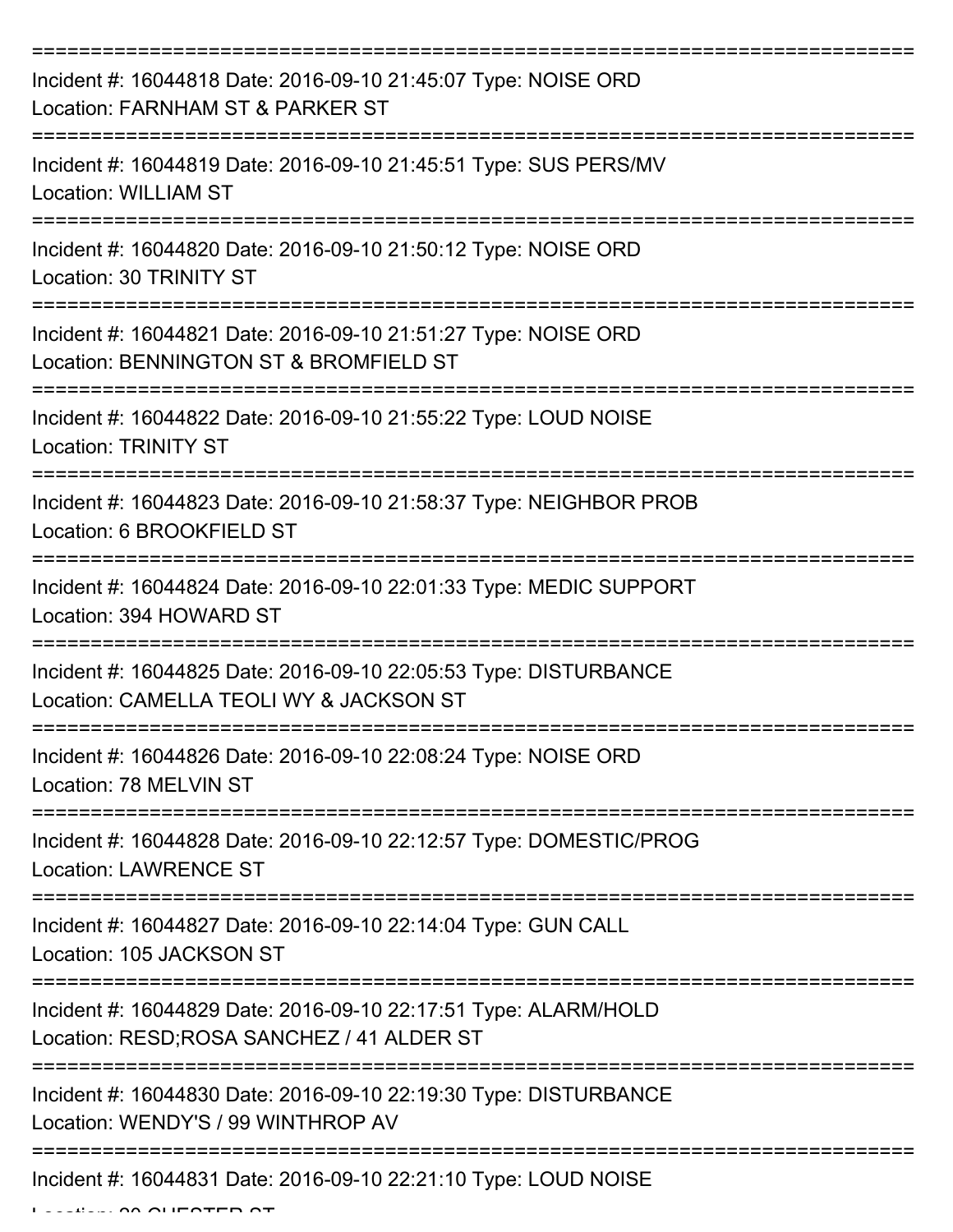| Incident #: 16044818 Date: 2016-09-10 21:45:07 Type: NOISE ORD<br>Location: FARNHAM ST & PARKER ST            |
|---------------------------------------------------------------------------------------------------------------|
| Incident #: 16044819 Date: 2016-09-10 21:45:51 Type: SUS PERS/MV<br><b>Location: WILLIAM ST</b>               |
| Incident #: 16044820 Date: 2016-09-10 21:50:12 Type: NOISE ORD<br>Location: 30 TRINITY ST                     |
| Incident #: 16044821 Date: 2016-09-10 21:51:27 Type: NOISE ORD<br>Location: BENNINGTON ST & BROMFIELD ST      |
| Incident #: 16044822 Date: 2016-09-10 21:55:22 Type: LOUD NOISE<br><b>Location: TRINITY ST</b>                |
| Incident #: 16044823 Date: 2016-09-10 21:58:37 Type: NEIGHBOR PROB<br>Location: 6 BROOKFIELD ST               |
| Incident #: 16044824 Date: 2016-09-10 22:01:33 Type: MEDIC SUPPORT<br>Location: 394 HOWARD ST<br>============ |
| Incident #: 16044825 Date: 2016-09-10 22:05:53 Type: DISTURBANCE<br>Location: CAMELLA TEOLI WY & JACKSON ST   |
| Incident #: 16044826 Date: 2016-09-10 22:08:24 Type: NOISE ORD<br>Location: 78 MELVIN ST                      |
| Incident #: 16044828 Date: 2016-09-10 22:12:57 Type: DOMESTIC/PROG<br><b>Location: LAWRENCE ST</b>            |
| Incident #: 16044827 Date: 2016-09-10 22:14:04 Type: GUN CALL<br>Location: 105 JACKSON ST                     |
| Incident #: 16044829 Date: 2016-09-10 22:17:51 Type: ALARM/HOLD<br>Location: RESD; ROSA SANCHEZ / 41 ALDER ST |
| Incident #: 16044830 Date: 2016-09-10 22:19:30 Type: DISTURBANCE<br>Location: WENDY'S / 99 WINTHROP AV        |
| Incident #: 16044831 Date: 2016-09-10 22:21:10 Type: LOUD NOISE                                               |

 $\ldots$   $\ldots$   $\ldots$   $\ldots$   $\ldots$   $\ldots$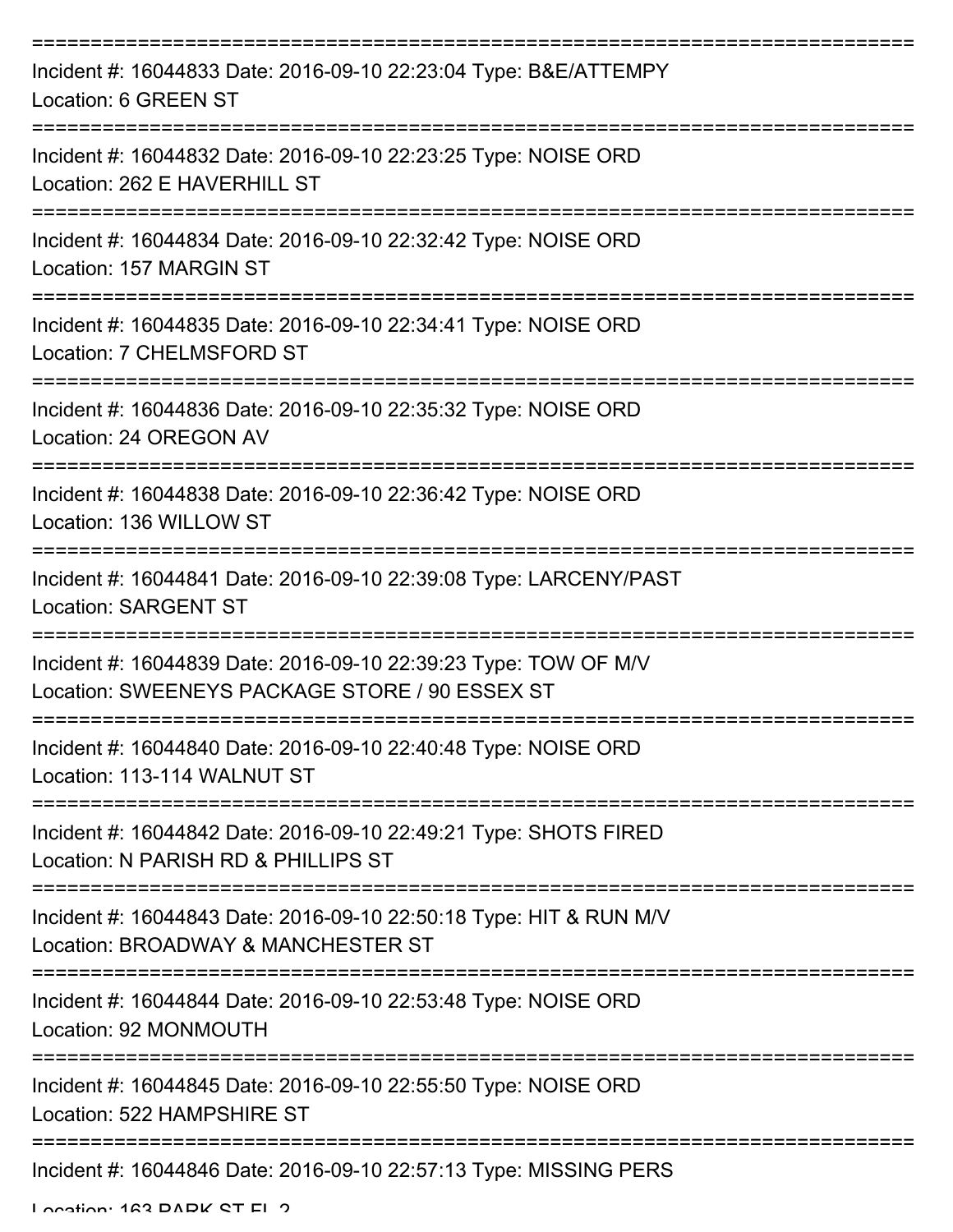| Incident #: 16044833 Date: 2016-09-10 22:23:04 Type: B&E/ATTEMPY<br>Location: 6 GREEN ST                                                                    |
|-------------------------------------------------------------------------------------------------------------------------------------------------------------|
| Incident #: 16044832 Date: 2016-09-10 22:23:25 Type: NOISE ORD<br>Location: 262 E HAVERHILL ST                                                              |
| Incident #: 16044834 Date: 2016-09-10 22:32:42 Type: NOISE ORD<br>Location: 157 MARGIN ST                                                                   |
| Incident #: 16044835 Date: 2016-09-10 22:34:41 Type: NOISE ORD<br>Location: 7 CHELMSFORD ST                                                                 |
| Incident #: 16044836 Date: 2016-09-10 22:35:32 Type: NOISE ORD<br>Location: 24 OREGON AV                                                                    |
| Incident #: 16044838 Date: 2016-09-10 22:36:42 Type: NOISE ORD<br>Location: 136 WILLOW ST                                                                   |
| Incident #: 16044841 Date: 2016-09-10 22:39:08 Type: LARCENY/PAST<br><b>Location: SARGENT ST</b>                                                            |
| Incident #: 16044839 Date: 2016-09-10 22:39:23 Type: TOW OF M/V<br>Location: SWEENEYS PACKAGE STORE / 90 ESSEX ST                                           |
| Incident #: 16044840 Date: 2016-09-10 22:40:48 Type: NOISE ORD<br>Location: 113-114 WALNUT ST                                                               |
| Incident #: 16044842 Date: 2016-09-10 22:49:21 Type: SHOTS FIRED<br>Location: N PARISH RD & PHILLIPS ST                                                     |
| Incident #: 16044843 Date: 2016-09-10 22:50:18 Type: HIT & RUN M/V<br>Location: BROADWAY & MANCHESTER ST                                                    |
| :==================================<br>=========================<br>Incident #: 16044844 Date: 2016-09-10 22:53:48 Type: NOISE ORD<br>Location: 92 MONMOUTH |
| Incident #: 16044845 Date: 2016-09-10 22:55:50 Type: NOISE ORD<br>Location: 522 HAMPSHIRE ST                                                                |
| ===================<br>Incident #: 16044846 Date: 2016-09-10 22:57:13 Type: MISSING PERS                                                                    |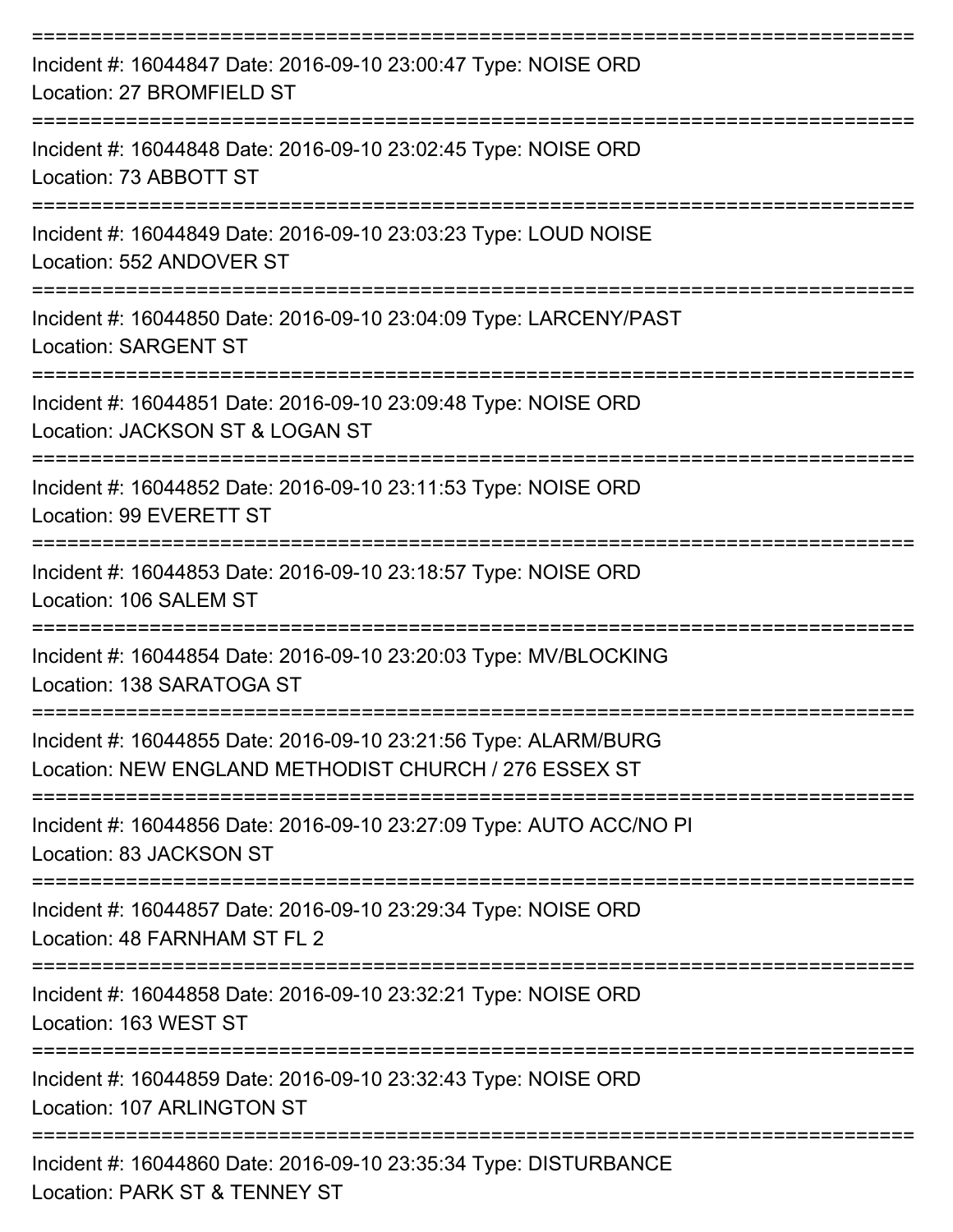| Incident #: 16044847 Date: 2016-09-10 23:00:47 Type: NOISE ORD<br>Location: 27 BROMFIELD ST                              |
|--------------------------------------------------------------------------------------------------------------------------|
| Incident #: 16044848 Date: 2016-09-10 23:02:45 Type: NOISE ORD<br>Location: 73 ABBOTT ST<br>=================            |
| Incident #: 16044849 Date: 2016-09-10 23:03:23 Type: LOUD NOISE<br>Location: 552 ANDOVER ST                              |
| Incident #: 16044850 Date: 2016-09-10 23:04:09 Type: LARCENY/PAST<br><b>Location: SARGENT ST</b>                         |
| Incident #: 16044851 Date: 2016-09-10 23:09:48 Type: NOISE ORD<br>Location: JACKSON ST & LOGAN ST                        |
| Incident #: 16044852 Date: 2016-09-10 23:11:53 Type: NOISE ORD<br>Location: 99 EVERETT ST                                |
| Incident #: 16044853 Date: 2016-09-10 23:18:57 Type: NOISE ORD<br>Location: 106 SALEM ST                                 |
| Incident #: 16044854 Date: 2016-09-10 23:20:03 Type: MV/BLOCKING<br>Location: 138 SARATOGA ST                            |
| Incident #: 16044855 Date: 2016-09-10 23:21:56 Type: ALARM/BURG<br>Location: NEW ENGLAND METHODIST CHURCH / 276 ESSEX ST |
| Incident #: 16044856 Date: 2016-09-10 23:27:09 Type: AUTO ACC/NO PI<br>Location: 83 JACKSON ST                           |
| Incident #: 16044857 Date: 2016-09-10 23:29:34 Type: NOISE ORD<br>Location: 48 FARNHAM ST FL 2                           |
| Incident #: 16044858 Date: 2016-09-10 23:32:21 Type: NOISE ORD<br>Location: 163 WEST ST                                  |
| Incident #: 16044859 Date: 2016-09-10 23:32:43 Type: NOISE ORD<br>Location: 107 ARLINGTON ST                             |
| Incident #: 16044860 Date: 2016-09-10 23:35:34 Type: DISTURBANCE<br>Location: DADK CT & TENNEV CT                        |

Location: PARK ST & TENNEY ST